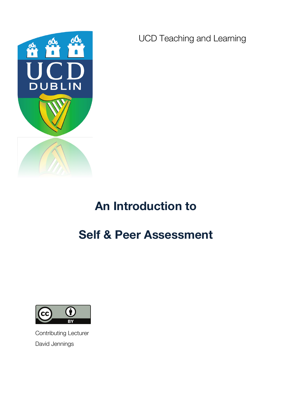

UCD Teaching and Learning

# **An Introduction to**

# **Self & Peer Assessment**



Contributing Lecturer David Jennings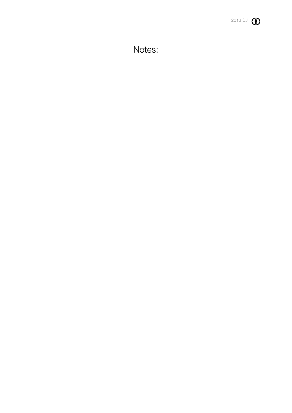

Notes: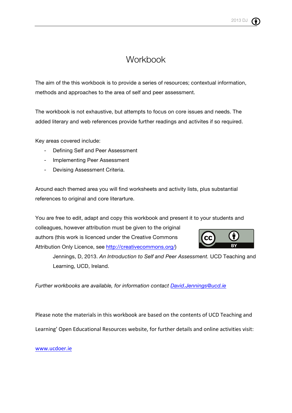# **Workbook**

The aim of the this workbook is to provide a series of resources; contextual information, methods and approaches to the area of self and peer assessment.

The workbook is not exhaustive, but attempts to focus on core issues and needs. The added literary and web references provide further readings and activites if so required.

Key areas covered include:

- Defining Self and Peer Assessment
- Implementing Peer Assessment
- Devising Assessment Criteria.

Around each themed area you will find worksheets and activity lists, plus substantial references to original and core literarture.

You are free to edit, adapt and copy this workbook and present it to your students and colleagues, however attribution must be given to the original authors (this work is licenced under the Creative Commons Attribution Only Licence, see http://creativecommons.org/)

Jennings, D, 2013. *An Introduction to Self and Peer Assessment.* UCD Teaching and Learning, UCD, Ireland.

*Further workbooks are available, for information contact David.Jennings@ucd.ie*

Please note the materials in this workbook are based on the contents of UCD Teaching and Learning' Open Educational Resources website, for further details and online activities visit:

www.ucdoer.ie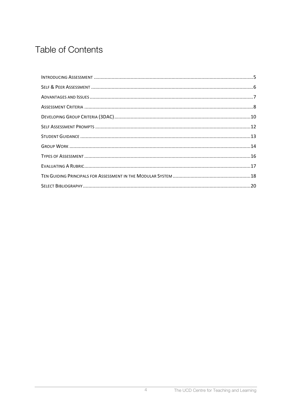# **Table of Contents**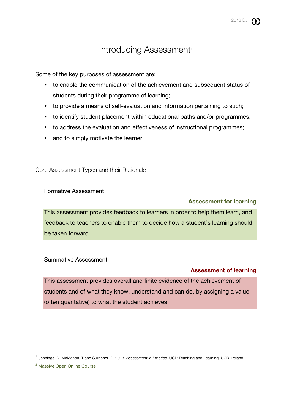# Introducing Assessment<sup>®</sup>

Some of the key purposes of assessment are;

- to enable the communication of the achievement and subsequent status of students during their programme of learning;
- to provide a means of self-evaluation and information pertaining to such;
- to identify student placement within educational paths and/or programmes;
- to address the evaluation and effectiveness of instructional programmes;
- and to simply motivate the learner.

Core Assessment Types and their Rationale

Formative Assessment

### **Assessment for learning**

This assessment provides feedback to learners in order to help them learn, and feedback to teachers to enable them to decide how a student's learning should be taken forward

#### Summative Assessment

### **Assessment of learning**

This assessment provides overall and finite evidence of the achievement of students and of what they know, understand and can do, by assigning a value (often quantative) to what the student achieves

 $\overline{a}$ 

<sup>1</sup> Jennings, D, McMahon, T and Surgenor, P. 2013. *Assessment in Practice.* UCD Teaching and Learning, UCD, Ireland.

<sup>2</sup> Massive Open Online Course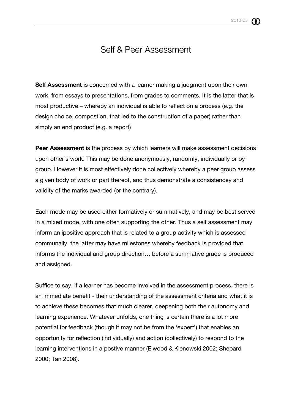# Self & Peer Assessment

**Self Assessment** is concerned with a learner making a judgment upon their own work, from essays to presentations, from grades to comments. It is the latter that is most productive – whereby an individual is able to reflect on a process (e.g. the design choice, compostion, that led to the construction of a paper) rather than simply an end product (e.g. a report)

**Peer Assessment** is the process by which learners will make assessment decisions upon other's work. This may be done anonymously, randomly, individually or by group. However it is most effectively done collectively whereby a peer group assess a given body of work or part thereof, and thus demonstrate a consistencey and validity of the marks awarded (or the contrary).

Each mode may be used either formatively or summatively, and may be best served in a mixed mode, with one often supporting the other. Thus a self assessment may inform an ipositive approach that is related to a group activity which is assessed communally, the latter may have milestones whereby feedback is provided that informs the individual and group direction… before a summative grade is produced and assigned.

Suffice to say, if a learner has become involved in the assessment process, there is an immediate benefit - their understanding of the assessment criteria and what it is to achieve these becomes that much clearer, deepening both their autonomy and learning experience. Whatever unfolds, one thing is certain there is a lot more potential for feedback (though it may not be from the 'expert') that enables an opportunity for reflection (individually) and action (collectively) to respond to the learning interventions in a postive manner (Elwood & Klenowski 2002; Shepard 2000; Tan 2008).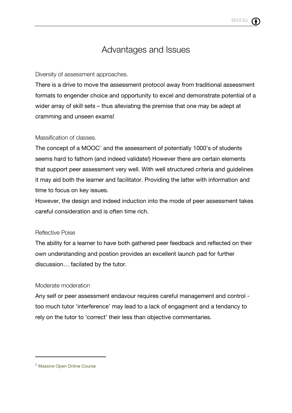# Advantages and Issues

### Diversity of assessment approaches.

There is a drive to move the assessment protocol away from traditional assessment formats to engender choice and opportunity to excel and demonstrate potential of a wider array of skill sets – thus alleviating the premise that one may be adept at cramming and unseen exams!

### Massification of classes.

The concept of a  $MOOC<sup>2</sup>$  and the assessment of potentially 1000's of students seems hard to fathom (and indeed validate!) However there are certain elements that support peer assessment very well. With well structured criteria and guidelines it may aid both the learner and facilitator. Providing the latter with information and time to focus on key issues.

However, the design and indeed induction into the mode of peer assessment takes careful consideration and is often time rich.

### Reflective Poise

The ability for a learner to have both gathered peer feedback and reflected on their own understanding and postion provides an excellent launch pad for further discussion… facilated by the tutor.

### Moderate moderation

Any self or peer assessment endavour requires careful management and control too much tutor 'interference' may lead to a lack of engagment and a tendancy to rely on the tutor to 'correct' their less than objective commentaries.

 $\overline{a}$ 

<sup>2</sup> Massive Open Online Course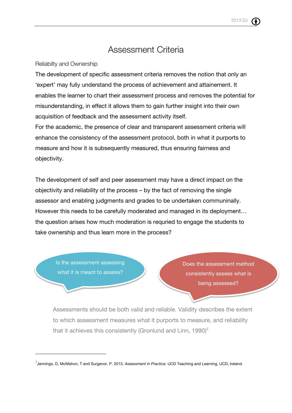# Assessment Criteria

Reliabilty and Ownership

The development of specific assessment criteria removes the notion that only an 'expert' may fully understand the process of achievement and attainement. It enables the learner to chart their assessment process and removes the potential for misunderstanding, in effect it allows them to gain further insight into their own acquisition of feedback and the assessment activity itself.

For the academic, the presence of clear and transparent assessment criteria will enhance the consistency of the assessment protocol, both in what it purports to measure and how it is subsequently measured, thus ensuring fairness and objectivity.

The development of self and peer assessment may have a direct impact on the objectivity and reliability of the process – by the fact of removing the single assessor and enabling judgments and grades to be undertaken communinally. However this needs to be carefully moderated and managed in its deployment… the question arises how much moderation is requried to engage the students to take ownership and thus learn more in the process?

Is the assessment assessing what it is meant to assess?

 $\overline{a}$ 

Does the assessment method consistently assess what is being assessed?

Assessments should be both valid and reliable. Validity describes the extent to which assessment measures what it purports to measure, and reliability that it achieves this consistently (Gronlund and Linn,  $1990$ )<sup>3</sup>

<sup>3</sup> Jennings, D, McMahon, T and Surgenor, P. 2013. *Assessment in Practice.* UCD Teaching and Learning, UCD, Ireland.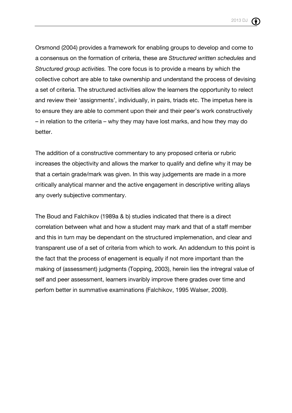

Orsmond (2004) provides a framework for enabling groups to develop and come to a consensus on the formation of criteria, these are *Structured written schedules* and *Structured group activities.* The core focus is to provide a means by which the collective cohort are able to take ownership and understand the process of devising a set of criteria. The structured activities allow the learners the opportunity to relect and review their 'assignments', individually, in pairs, triads etc. The impetus here is to ensure they are able to comment upon their and their peer's work constructively – in relation to the criteria – why they may have lost marks, and how they may do better.

The addition of a constructive commentary to any proposed criteria or rubric increases the objectivity and allows the marker to qualify and define why it may be that a certain grade/mark was given. In this way judgements are made in a more critically analytical manner and the active engagement in descriptive writing allays any overly subjective commentary.

The Boud and Falchikov (1989a & b) studies indicated that there is a direct correlation between what and how a student may mark and that of a staff member and this in turn may be dependant on the structured implemenation, and clear and transparent use of a set of criteria from which to work. An addendum to this point is the fact that the process of enagement is equally if not more important than the making of (assessment) judgments (Topping, 2003), herein lies the intregral value of self and peer assessment, learners invaribly improve there grades over time and perfom better in summative examinations (Falchikov, 1995 Walser, 2009).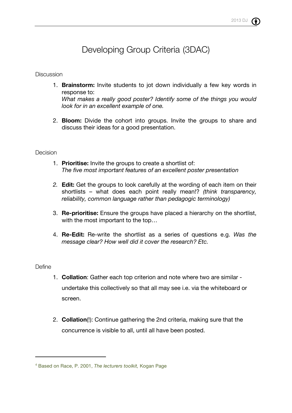# Developing Group Criteria (3DAC)

### **Discussion**

- 1. **Brainstorm:** Invite students to jot down individually a few key words in response to: *What makes a really good poster? Identify some of the things you would look for in an excellent example of one.*
- 2. **Bloom:** Divide the cohort into groups. Invite the groups to share and discuss their ideas for a good presentation.

### **Decision**

- 1. **Prioritise:** Invite the groups to create a shortlist of: *The five most important features of an excellent poster presentation*
- *2.* **Edit:** Get the groups to look carefully at the wording of each item on their shortlists – what does each point really mean!? *(think transparency, reliability, common language rather than pedagogic terminology)*
- 3. **Re-prioritise:** Ensure the groups have placed a hierarchy on the shortlist, with the most important to the top…
- 4. **Re-Edit:** Re-write the shortlist as a series of questions e.g. *Was the message clear? How well did it cover the research? Etc.*

#### **Define**

 $\overline{a}$ 

- 1. **Collation**: Gather each top criterion and note where two are similar undertake this collectively so that all may see i.e. via the whiteboard or screen.
- 2. **Collation**(!): Continue gathering the 2nd criteria, making sure that the concurrence is visible to all, until all have been posted.

<sup>4</sup> Based on Race, P. 2001, *The lecturers toolkit,* Kogan Page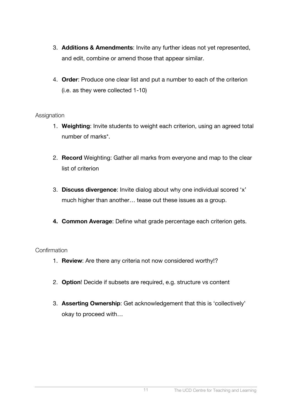- 3. **Additions & Amendments**: Invite any further ideas not yet represented, and edit, combine or amend those that appear similar.
- 4. **Order**: Produce one clear list and put a number to each of the criterion (i.e. as they were collected 1-10)

## **Assignation**

- 1. **Weighting**: Invite students to weight each criterion, using an agreed total number of marks\*.
- 2. **Record** Weighting: Gather all marks from everyone and map to the clear list of criterion
- 3. **Discuss divergence**: Invite dialog about why one individual scored 'x' much higher than another… tease out these issues as a group.
- **4. Common Average**: Define what grade percentage each criterion gets.

## Confirmation

- 1. **Review**: Are there any criteria not now considered worthy!?
- 2. **Option**! Decide if subsets are required, e.g. structure vs content
- 3. **Asserting Ownership**: Get acknowledgement that this is 'collectively' okay to proceed with…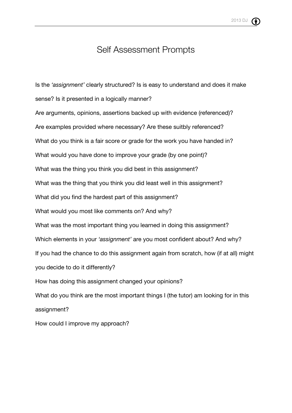# Self Assessment Prompts

Is the *'assignment'* clearly structured? Is is easy to understand and does it make sense? Is it presented in a logically manner? Are arguments, opinions, assertions backed up with evidence (referenced)? Are examples provided where necessary? Are these suitbly referenced? What do you think is a fair score or grade for the work you have handed in? What would you have done to improve your grade (by one point)? What was the thing you think you did best in this assignment? What was the thing that you think you did least well in this assignment? What did you find the hardest part of this assignment? What would you most like comments on? And why? What was the most important thing you learned in doing this assignment? Which elements in your *'assignment'* are you most confident about? And why? If you had the chance to do this assignment again from scratch, how (if at all) might you decide to do it differently? How has doing this assignment changed your opinions? What do you think are the most important things I (the tutor) am looking for in this assignment? How could I improve my approach?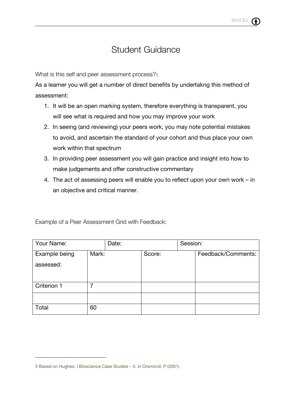# Student Guidance

What is this self and peer assessment process?<sup>5</sup>

As a learner you will get a number of direct benefits by undertakng this method of assessment:

- 1. It will be an open marking system, therefore everything is transparent, you will see what is required and how you may improve your work
- 2. In seeing (and reviewing) your peers work, you may note potential mistakes to avoid, and ascertain the standard of your cohort and thus place your own work within that spectrum
- 3. In providing peer assessment you will gain practice and insight into how to make judgements and offer constructive commentary
- 4. The act of assessing peers will enable you to reflect upon your own work in an objective and critical manner.

| Your Name:    |       | Date: |        | Session: |                    |
|---------------|-------|-------|--------|----------|--------------------|
| Example being | Mark: |       | Score: |          | Feedback/Comments: |
| assessed:     |       |       |        |          |                    |
|               |       |       |        |          |                    |
| Criterion 1   |       |       |        |          |                    |
|               |       |       |        |          |                    |
| Total         | 60    |       |        |          |                    |

Example of a Peer Assessment Grid with Feedback:

1

<sup>5</sup> Based on Hughes, I Bioscience Case Studies – 5, in Orsmond, P (2001)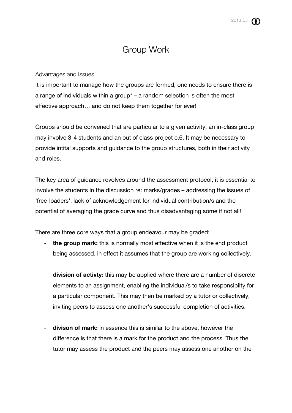# Group Work

### Advantages and Issues

It is important to manage how the groups are formed, one needs to ensure there is a range of individuals within a group\* – a random selection is often the most effective approach… and do not keep them together for ever!

Groups should be convened that are particular to a given activity, an in-class group may involve 3-4 students and an out of class project c.6. It may be necessary to provide intital supports and guidance to the group structures, both in their activity and roles.

The key area of guidance revolves around the assessment protocol, it is essential to involve the students in the discussion re: marks/grades – addressing the issues of 'free-loaders', lack of acknowledgement for individual contribution/s and the potential of averaging the grade curve and thus disadvantaging some if not all!

There are three core ways that a group endeavour may be graded:

- the group mark: this is normally most effective when it is the end product being assessed, in effect it assumes that the group are working collectively.
- **division of activty:** this may be applied where there are a number of discrete elements to an assignment, enabling the individual/s to take responsibilty for a particular component. This may then be marked by a tutor or collectively, inviting peers to assess one another's successful completion of activities.
- **divison of mark:** in essence this is similar to the above, however the difference is that there is a mark for the product and the process. Thus the tutor may assess the product and the peers may assess one another on the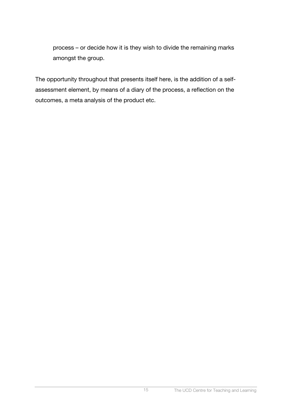process – or decide how it is they wish to divide the remaining marks amongst the group.

The opportunity throughout that presents itself here, is the addition of a selfassessment element, by means of a diary of the process, a reflection on the outcomes, a meta analysis of the product etc.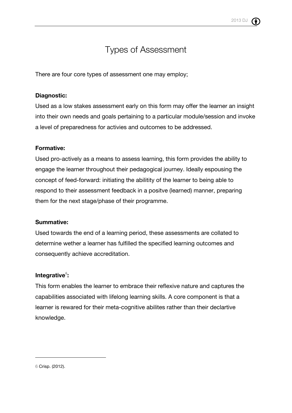# Types of Assessment

There are four core types of assessment one may employ;

## **Diagnostic:**

Used as a low stakes assessment early on this form may offer the learner an insight into their own needs and goals pertaining to a particular module/session and invoke a level of preparedness for activies and outcomes to be addressed.

## **Formative:**

Used pro-actively as a means to assess learning, this form provides the ability to engage the learner throughout their pedagogical journey. Ideally espousing the concept of feed-forward: initiating the abilitity of the learner to being able to respond to their assessment feedback in a positve (learned) manner, preparing them for the next stage/phase of their programme.

## **Summative:**

Used towards the end of a learning period, these assessments are collated to determine wether a learner has fulfilled the specified learning outcomes and consequently achieve accreditation.

## **Integrative<sup>6</sup> :**

This form enables the learner to embrace their reflexive nature and captures the capabilities associated with lifelong learning skills. A core component is that a learner is rewared for their meta-cognitive abilites rather than their declartive knowledge.

1

<sup>6</sup> Crisp. (2012).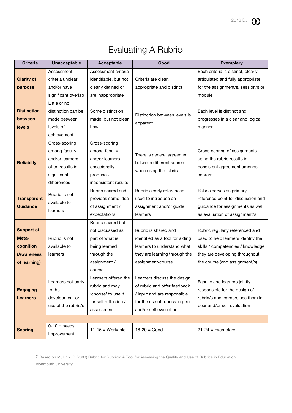| <b>Evaluating A Rubric</b> |  |
|----------------------------|--|
|----------------------------|--|

| <b>Criteria</b>    | <b>Unacceptable</b>      | Acceptable            | Good                                                 | <b>Exemplary</b>                   |
|--------------------|--------------------------|-----------------------|------------------------------------------------------|------------------------------------|
|                    | Assessment               | Assessment criteria   |                                                      | Each criteria is distinct, clearly |
| <b>Clarity of</b>  | criteria unclear         | identifiable, but not | Criteria are clear,                                  | articulated and fully appropriate  |
| purpose            | and/or have              | clearly defined or    | appropriate and distinct                             | for the assignment/s, session/s or |
|                    | significant overlap      | are inappropriate     |                                                      | module                             |
|                    | Little or no             |                       |                                                      |                                    |
| <b>Distinction</b> | distinction can be       | Some distinction      | Distinction between levels is                        | Each level is distinct and         |
| between            | made between             | made, but not clear   | apparent                                             | progresses in a clear and logical  |
| levels             | levels of                | how                   |                                                      | manner                             |
|                    | achievement              |                       |                                                      |                                    |
|                    | Cross-scoring            | Cross-scoring         |                                                      |                                    |
|                    | among faculty            | among faculty         | There is general agreement                           | Cross-scoring of assignments       |
| <b>Reliabilty</b>  | and/or learners          | and/or learners       | between different scorers                            | using the rubric results in        |
|                    | often results in         | occasionally          | when using the rubric                                | consistent agreement amongst       |
|                    | significant              | produces              |                                                      | scorers                            |
|                    | differences              | inconsistent results  |                                                      |                                    |
|                    | Rubric is not            | Rubric shared and     | Rubric clearly referenced,                           | Rubric serves as primary           |
| <b>Transparent</b> | available to<br>learners | provides some idea    | used to introduce an                                 | reference point for discussion and |
| <b>Guidance</b>    |                          | of assignment /       | assignment and/or guide                              | guidance for assignments as well   |
|                    |                          | expectations          | learners                                             | as evaluation of assignment/s      |
|                    |                          | Rubric shared but     |                                                      |                                    |
| <b>Support of</b>  |                          | not discussed as      | Rubric is shared and                                 | Rubric regularly referenced and    |
| Meta-              | Rubric is not            | part of what is       | identified as a tool for aiding                      | used to help learners identify the |
| cognition          | available to             | being learned         | learners to understand what                          | skills / competencies / knowledge  |
| (Awareness         | learners                 | through the           | they are learning through the                        | they are developing throughout     |
| of learning)       |                          | assignment /          | assignment/course                                    | the course (and assignment/s)      |
|                    |                          | course                |                                                      |                                    |
|                    | Learners not party       |                       | Learners offered the $ $ Learners discuss the design | Faculty and learners jointly       |
| <b>Engaging</b>    | to the                   | rubric and may        | of rubric and offer feedback                         | responsible for the design of      |
| <b>Learners</b>    | development or           | 'choose' to use it    | / input and are responsible                          | rubric/s and learners use them in  |
|                    | use of the rubric/s      | for self reflection / | for the use of rubrics in peer                       | peer and/or self evaluation        |
|                    |                          | assessment            | and/or self evaluation                               |                                    |
|                    | $0-10$ = needs           |                       |                                                      |                                    |
| <b>Scoring</b>     | improvement              | $11-15 = Workable$    | $16 - 20 = Good$                                     | $21-24 = Exemplary$                |
|                    |                          |                       |                                                      |                                    |

<sup>7</sup> Based on Mullinix, B (2003) Rubric for Rubrics: A Tool for Assessing the Quality and Use of Rubrics in Education, Monmouth University

 $\overline{a}$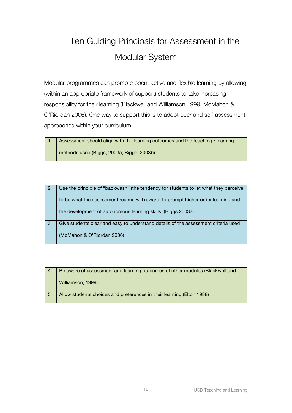# Ten Guiding Principals for Assessment in the Modular System

Modular programmes can promote open, active and flexible learning by allowing (within an appropriate framework of support) students to take increasing responsibility for their learning (Blackwell and Williamson 1999, McMahon & O'Riordan 2006). One way to support this is to adopt peer and self-assessment approaches within your curriculum.

| $\mathbf{1}$   | Assessment should align with the learning outcomes and the teaching / learning       |
|----------------|--------------------------------------------------------------------------------------|
|                | methods used (Biggs, 2003a; Biggs, 2003b).                                           |
|                |                                                                                      |
|                |                                                                                      |
| $\overline{2}$ | Use the principle of "backwash" (the tendency for students to let what they perceive |
|                | to be what the assessment regime will reward) to prompt higher order learning and    |
|                | the development of autonomous learning skills. (Biggs 2003a)                         |
| 3              | Give students clear and easy to understand details of the assessment criteria used   |
|                | (McMahon & O'Riordan 2006)                                                           |
|                |                                                                                      |
|                |                                                                                      |
| $\overline{4}$ | Be aware of assessment and learning outcomes of other modules (Blackwell and         |
|                | Williamson, 1999)                                                                    |
| 5              | Allow students choices and preferences in their learning (Elton 1988)                |
|                |                                                                                      |
|                |                                                                                      |
|                |                                                                                      |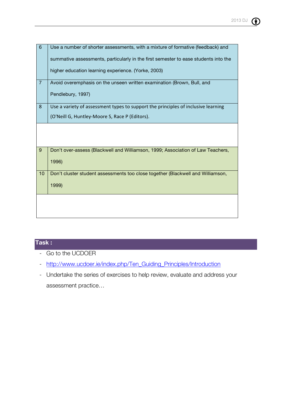

| 6              | Use a number of shorter assessments, with a mixture of formative (feedback) and     |
|----------------|-------------------------------------------------------------------------------------|
|                | summative assessments, particularly in the first semester to ease students into the |
|                | higher education learning experience. (Yorke, 2003)                                 |
| $\overline{7}$ | Avoid overemphasis on the unseen written examination (Brown, Bull, and              |
|                | Pendlebury, 1997)                                                                   |
| $\bf 8$        | Use a variety of assessment types to support the principles of inclusive learning   |
|                | (O'Neill G, Huntley-Moore S, Race P (Editors).                                      |
|                |                                                                                     |
|                |                                                                                     |
|                |                                                                                     |
| 9              | Don't over-assess (Blackwell and Williamson, 1999; Association of Law Teachers,     |
|                | 1996)                                                                               |
|                |                                                                                     |
| 10             | Don't cluster student assessments too close together (Blackwell and Williamson,     |
|                | 1999)                                                                               |
|                |                                                                                     |
|                |                                                                                     |
|                |                                                                                     |
|                |                                                                                     |

# **Task :**

- Go to the UCDOER
- http://www.ucdoer.ie/index.php/Ten\_Guiding\_Principles/Introduction
- Undertake the series of exercises to help review, evaluate and address your assessment practice…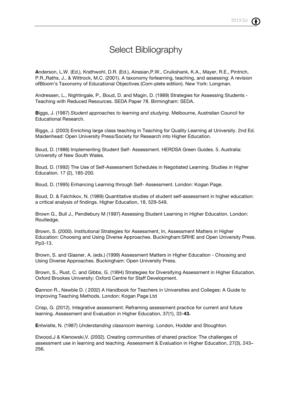# Select Bibliography

**A**nderson, L.W. (Ed.), Krathwohl, D.R. (Ed.), Airasian,P.W., Cruikshank, K.A., Mayer, R.E., Pintrich, P.R.,Raths, J., & Wittrock, M.C. (2001). A taxonomy forlearning, teaching, and assessing: A revision ofBloom's Taxonomy of Educational Objectives (Com-plete edition). New York: Longman.

Andressen, L., Nightingale, P., Boud, D. and Magin, D. (1989) Strategies for Assessing Students - Teaching with Reduced Resources. SEDA Paper 78. Birmingham: SEDA.

**B**iggs, J. (1987) *Student approaches to learning and studying*. Melbourne, Australian Council for Educational Research.

Biggs, J. (2003) Enriching large class teaching in Teaching for Quality Learning at University. 2nd Ed. Maidenhead: Open University Press/Society for Research into Higher Education.

Boud, D. (1986) Implementing Student Self- Assessment. HERDSA Green Guides. 5. Australia: University of New South Wales.

Boud, D. (1992) The Use of Self-Assessment Schedules in Negotiated Learning. Studies in Higher Education. 17 (2), 185-200.

Boud, D. (1995) Enhancing Learning through Self- Assessment. London: Kogan Page.

Boud, D. & Falchikov, N. (1989) Quantitative studies of student self-assessment in higher education: a critical analysis of findings. Higher Education, 18, 529-549.

Brown G., Bull J., Pendlebury M (1997) Assessing Student Learning in Higher Education. London: Routledge.

Brown, S. (2000). Institutional Strategies for Assessment, In, Assessment Matters in Higher Education: Choosing and Using Diverse Approaches. Buckingham:SRHE and Open University Press. Pp3-13.

Brown, S. and Glasner, A. (eds.) (1999) Assessment Matters in Higher Education - Choosing and Using Diverse Approaches. Buckingham: Open University Press.

Brown, S., Rust, C. and Gibbs, G. (1994) Strategies for Diversifying Assessment in Higher Education. Oxford Brookes University: Oxford Centre for Staff Development.

**C**annon R., Newble D. ( 2002) A Handbook for Teachers in Universities and Colleges: A Guide to Improving Teaching Methods. London: Kogan Page Ltd

Crisp, G. (2012). Integrative assessment: Reframing assessment practice for current and future learning. Assessment and Evaluation in Higher Education, 37(1), 33-**43.**

**E**ntwistle, N. (1987) *Understanding classroom learning*. London, Hodder and Stoughton.

Elwood,J & Klenowski,V. (2002). Creating communities of shared practice: The challenges of assessment use in learning and teaching. Assessment & Evaluation in Higher Education, 27(3), 243– 256.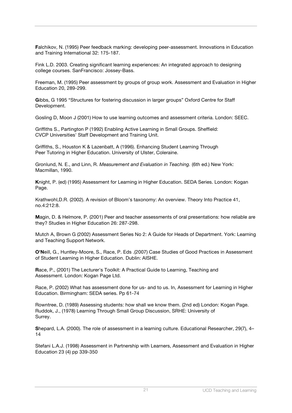**F**alchikov, N. (1995) Peer feedback marking: developing peer-assessment. Innovations in Education and Training International 32: 175-187.

Fink L.D. 2003. Creating significant learning experiences: An integrated approach to designing college courses. SanFrancisco: Jossey-Bass.

Freeman, M. (1995) Peer assessment by groups of group work. Assessment and Evaluation in Higher Education 20, 289-299.

**G**ibbs, G 1995 "Structures for fostering discussion in larger groups" Oxford Centre for Staff Development.

Gosling D, Moon J (2001) How to use learning outcomes and assessment criteria. London: SEEC.

Griffiths S., Partington P (1992) Enabling Active Learning in Small Groups. Sheffield: CVCP Universities' Staff Development and Training Unit.

Griffiths, S., Houston K & Lazenbatt, A (1996). Enhancing Student Learning Through Peer Tutoring in Higher Education. University of Ulster, Coleraine.

Gronlund, N. E., and Linn, R. *Measurement and Evaluation in Teaching.* (6th ed.) New York: Macmillan, 1990.

**K**night, P. (ed) (1995) Assessment for Learning in Higher Education. SEDA Series. London: Kogan Page.

Krathwohl,D.R. (2002). A revision of Bloom's taxonomy: An overview. Theory Into Practice 41, no.4:212:8.

**M**agin, D. & Helmore, P. (2001) Peer and teacher assessments of oral presentations: how reliable are they? Studies in Higher Education 26: 287-298.

Mutch A, Brown G (2002) Assessment Series No 2: A Guide for Heads of Department. York: Learning and Teaching Support Network.

**O'N**eill, G., Huntley-Moore, S., Race, P. Eds .(2007) Case Studies of Good Practices in Assessment of Student Learning in Higher Education. Dublin: AISHE.

**R**ace, P., (2001) The Lecturer's Toolkit: A Practical Guide to Learning, Teaching and Assessment. London: Kogan Page Ltd.

Race, P. (2002) What has assessment done for us- and to us. In, Assessment for Learning in Higher Education. Birmingham: SEDA series. Pp 61-74

Rowntree, D. (1989) Assessing students: how shall we know them. (2nd ed) London: Kogan Page. Ruddok, J., (1978) Learning Through Small Group Discussion, SRHE: University of Surrey.

**S**hepard, L.A. (2000). The role of assessment in a learning culture. Educational Researcher, 29(7), 4– 14

Stefani L.A.J. (1998) Assessment in Partnership with Learners, Assessment and Evaluation in Higher Education 23 (4) pp 339-350